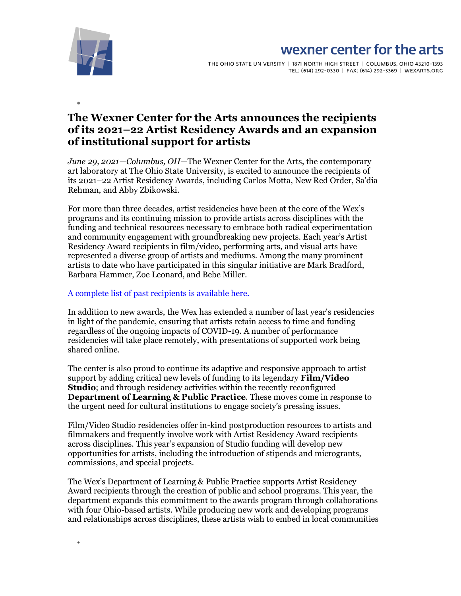

 $^{+}$ 

# wexner center for the arts

THE OHIO STATE UNIVERSITY | 1871 NORTH HIGH STREET | COLUMBUS, OHIO 43210-1393 TEL: (614) 292-0330 | FAX: (614) 292-3369 | WEXARTS.ORG

# **The Wexner Center for the Arts announces the recipients of its 2021–22 Artist Residency Awards and an expansion of institutional support for artists**

*June 29, 2021—Columbus, OH—*The Wexner Center for the Arts, the contemporary art laboratory at The Ohio State University, is excited to announce the recipients of its 2021–22 Artist Residency Awards, including Carlos Motta, New Red Order, Sa'dia Rehman, and Abby Zbikowski.

For more than three decades, artist residencies have been at the core of the Wex's programs and its continuing mission to provide artists across disciplines with the funding and technical resources necessary to embrace both radical experimentation and community engagement with groundbreaking new projects. Each year's Artist Residency Award recipients in film/video, performing arts, and visual arts have represented a diverse group of artists and mediums. Among the many prominent artists to date who have participated in this singular initiative are Mark Bradford, Barbara Hammer, Zoe Leonard, and Bebe Miller.

#### [A complete list of past recipients is available here.](https://wexarts.org/artist-residency-awards)

In addition to new awards, the Wex has extended a number of last year's residencies in light of the pandemic, ensuring that artists retain access to time and funding regardless of the ongoing impacts of COVID-19. A number of performance residencies will take place remotely, with presentations of supported work being shared online.

The center is also proud to continue its adaptive and responsive approach to artist support by adding critical new levels of funding to its legendary **Film/Video Studio**; and through residency activities within the recently reconfigured **Department of Learning & Public Practice**. These moves come in response to the urgent need for cultural institutions to engage society's pressing issues.

Film/Video Studio residencies offer in-kind postproduction resources to artists and filmmakers and frequently involve work with Artist Residency Award recipients across disciplines. This year's expansion of Studio funding will develop new opportunities for artists, including the introduction of stipends and microgrants, commissions, and special projects.

The Wex's Department of Learning & Public Practice supports Artist Residency Award recipients through the creation of public and school programs. This year, the department expands this commitment to the awards program through collaborations with four Ohio-based artists. While producing new work and developing programs and relationships across disciplines, these artists wish to embed in local communities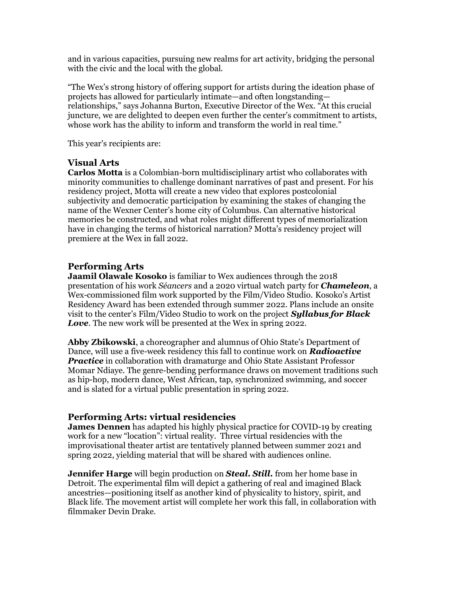and in various capacities, pursuing new realms for art activity, bridging the personal with the civic and the local with the global.

"The Wex's strong history of offering support for artists during the ideation phase of projects has allowed for particularly intimate—and often longstanding relationships," says Johanna Burton, Executive Director of the Wex. "At this crucial juncture, we are delighted to deepen even further the center's commitment to artists, whose work has the ability to inform and transform the world in real time."

This year's recipients are:

## **Visual Arts**

**Carlos Motta** is a Colombian-born multidisciplinary artist who collaborates with minority communities to challenge dominant narratives of past and present. For his residency project, Motta will create a new video that explores postcolonial subjectivity and democratic participation by examining the stakes of changing the name of the Wexner Center's home city of Columbus. Can alternative historical memories be constructed, and what roles might different types of memorialization have in changing the terms of historical narration? Motta's residency project will premiere at the Wex in fall 2022.

## **Performing Arts**

**Jaamil Olawale Kosoko** is familiar to Wex audiences through the 2018 presentation of his work *Séancers* and a 2020 virtual watch party for *Chameleon*, a Wex-commissioned film work supported by the Film/Video Studio. Kosoko's Artist Residency Award has been extended through summer 2022. Plans include an onsite visit to the center's Film/Video Studio to work on the project *Syllabus for Black Love*. The new work will be presented at the Wex in spring 2022.

**Abby Zbikowski**, a choreographer and alumnus of Ohio State's Department of Dance, will use a five-week residency this fall to continue work on *Radioactive Practice* in collaboration with dramaturge and Ohio State Assistant Professor Momar Ndiaye. The genre-bending performance draws on movement traditions such as hip-hop, modern dance, West African, tap, synchronized swimming, and soccer and is slated for a virtual public presentation in spring 2022.

#### **Performing Arts: virtual residencies**

**James Dennen** has adapted his highly physical practice for COVID-19 by creating work for a new "location": virtual reality. Three virtual residencies with the improvisational theater artist are tentatively planned between summer 2021 and spring 2022, yielding material that will be shared with audiences online.

**Jennifer Harge** will begin production on *Steal. Still.* from her home base in Detroit. The experimental film will depict a gathering of real and imagined Black ancestries—positioning itself as another kind of physicality to history, spirit, and Black life. The movement artist will complete her work this fall, in collaboration with filmmaker Devin Drake.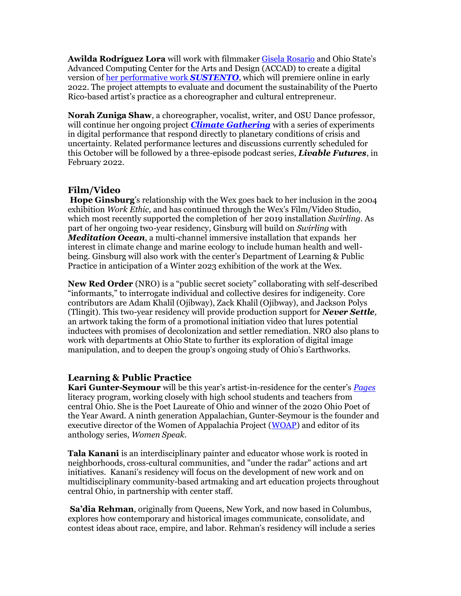**Awilda Rodríguez Lora** will work with filmmake[r Gisela Rosario](https://www.tfiny.org/filmmakers/detail/gisela_rosario) and Ohio State's Advanced Computing Center for the Arts and Design (ACCAD) to create a digital version o[f her performative work](https://wexarts.org/explore/awilda-rodriguez-lora) *SUSTENTO*, which will premiere online in early 2022. The project attempts to evaluate and document the sustainability of the Puerto Rico-based artist's practice as a choreographer and cultural entrepreneur.

**Norah Zuniga Shaw**, a choreographer, vocalist, writer, and OSU Dance professor, will continue her ongoing project *[Climate Gathering](https://livablefuturesnow.org/climate)* with a series of experiments in digital performance that respond directly to planetary conditions of crisis and uncertainty. Related performance lectures and discussions currently scheduled for this October will be followed by a three-episode podcast series, *Livable Futures*, in February 2022.

## **Film/Video**

**Hope Ginsburg**'s relationship with the Wex goes back to her inclusion in the 2004 exhibition *Work Ethic,* and has continued through the Wex's Film/Video Studio, which most recently supported the completion of her 2019 installation *Swirling.* As part of her ongoing two-year residency, Ginsburg will build on *Swirling* with *Meditation Ocean*, a multi-channel immersive installation that expands her interest in climate change and marine ecology to include human health and wellbeing. Ginsburg will also work with the center's Department of Learning & Public Practice in anticipation of a Winter 2023 exhibition of the work at the Wex.

**New Red Order** (NRO) is a "public secret society" collaborating with self-described "informants," to interrogate individual and collective desires for indigeneity. Core contributors are Adam Khalil (Ojibway), Zack Khalil (Ojibway), and Jackson Polys (Tlingit). This two-year residency will provide production support for *Never Settle,*  an artwork taking the form of a promotional initiation video that lures potential inductees with promises of decolonization and settler remediation. NRO also plans to work with departments at Ohio State to further its exploration of digital image manipulation, and to deepen the group's ongoing study of Ohio's Earthworks.

#### **Learning & Public Practice**

**Kari Gunter-Seymour** will be this year's artist-in-residence for the center's *[Pages](https://wexarts.org/education/pages)* literacy program, working closely with high school students and teachers from central Ohio. She is the Poet Laureate of Ohio and winner of the 2020 Ohio Poet of the Year Award*.* A ninth generation Appalachian, Gunter-Seymour is the founder and executive director of the Women of Appalachia Project [\(WOAP\)](https://www.womenofappalachia.com/) and editor of its anthology series, *Women Speak*.

**Tala Kanani** is an interdisciplinary painter and educator whose work is rooted in neighborhoods, cross-cultural communities, and "under the radar" actions and art initiatives. Kanani's residency will focus on the development of new work and on multidisciplinary community-based artmaking and art education projects throughout central Ohio, in partnership with center staff.

**Sa'dia Rehman**, originally from Queens, New York, and now based in Columbus, explores how contemporary and historical images communicate, consolidate, and contest ideas about race, empire, and labor. Rehman's residency will include a series